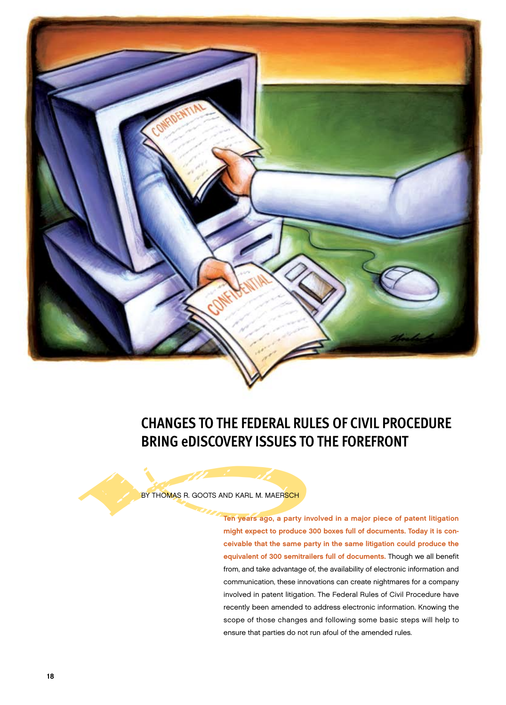

# **Changes to the Federal Rules of Civil Procedure Bring eDiscovery Issues to the Forefront**

BY THOMAS R. GOOTS AND KARL M. MAERSCH

might expect to produce 300 boxes full of documents. Today it is conceivable that the same party in the same litigation could produce the equivalent of 300 semitrailers full of documents. Though we all benefit from, and take advantage of, the availability of electronic information and communication, these innovations can create nightmares for a company involved in patent litigation. The Federal Rules of Civil Procedure have recently been amended to address electronic information. Knowing the scope of those changes and following some basic steps will help to ensure that parties do not run afoul of the amended rules.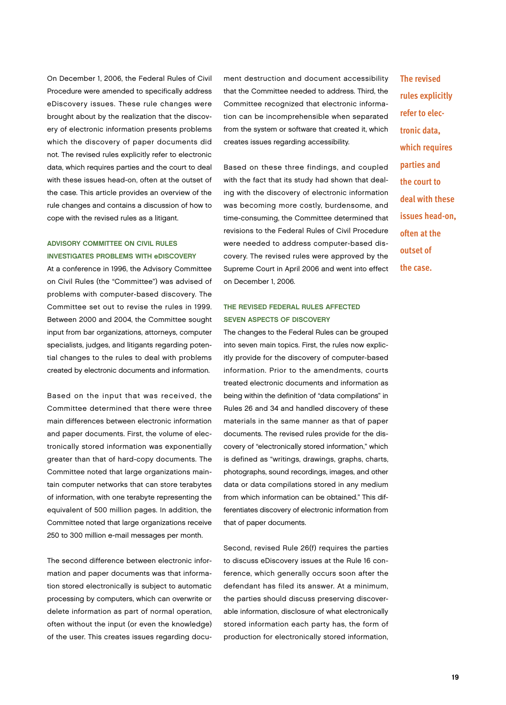On December 1, 2006, the Federal Rules of Civil Procedure were amended to specifically address eDiscovery issues. These rule changes were brought about by the realization that the discovery of electronic information presents problems which the discovery of paper documents did not. The revised rules explicitly refer to electronic data, which requires parties and the court to deal with these issues head-on, often at the outset of the case. This article provides an overview of the rule changes and contains a discussion of how to cope with the revised rules as a litigant.

## Advisory Committee on Civil Rules Investigates Problems With eDiscovery

At a conference in 1996, the Advisory Committee on Civil Rules (the "Committee") was advised of problems with computer-based discovery. The Committee set out to revise the rules in 1999. Between 2000 and 2004, the Committee sought input from bar organizations, attorneys, computer specialists, judges, and litigants regarding potential changes to the rules to deal with problems created by electronic documents and information.

Based on the input that was received, the Committee determined that there were three main differences between electronic information and paper documents. First, the volume of electronically stored information was exponentially greater than that of hard-copy documents. The Committee noted that large organizations maintain computer networks that can store terabytes of information, with one terabyte representing the equivalent of 500 million pages. In addition, the Committee noted that large organizations receive 250 to 300 million e-mail messages per month.

The second difference between electronic information and paper documents was that information stored electronically is subject to automatic processing by computers, which can overwrite or delete information as part of normal operation, often without the input (or even the knowledge) of the user. This creates issues regarding document destruction and document accessibility that the Committee needed to address. Third, the Committee recognized that electronic information can be incomprehensible when separated from the system or software that created it, which creates issues regarding accessibility.

Based on these three findings, and coupled with the fact that its study had shown that dealing with the discovery of electronic information was becoming more costly, burdensome, and time-consuming, the Committee determined that revisions to the Federal Rules of Civil Procedure were needed to address computer-based discovery. The revised rules were approved by the Supreme Court in April 2006 and went into effect on December 1, 2006.

# The Revised Federal Rules Affected SEVEN ASPECTS OF DISCOVERY

The changes to the Federal Rules can be grouped into seven main topics. First, the rules now explicitly provide for the discovery of computer-based information. Prior to the amendments, courts treated electronic documents and information as being within the definition of "data compilations" in Rules 26 and 34 and handled discovery of these materials in the same manner as that of paper documents. The revised rules provide for the discovery of "electronically stored information," which is defined as "writings, drawings, graphs, charts, photographs, sound recordings, images, and other data or data compilations stored in any medium from which information can be obtained." This differentiates discovery of electronic information from that of paper documents.

Second, revised Rule 26(f) requires the parties to discuss eDiscovery issues at the Rule 16 conference, which generally occurs soon after the defendant has filed its answer. At a minimum, the parties should discuss preserving discoverable information, disclosure of what electronically stored information each party has, the form of production for electronically stored information,

**The revised rules explicitly refer to electronic data, which requires parties and the court to deal with these issues head-on, often at the outset of the case.**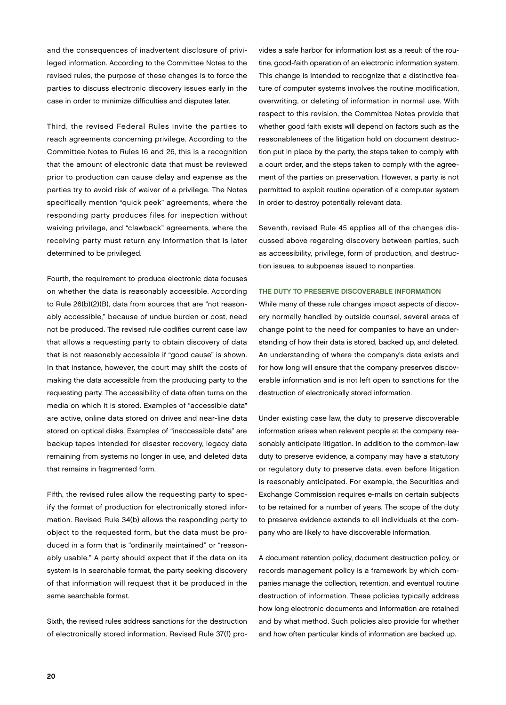and the consequences of inadvertent disclosure of privileged information. According to the Committee Notes to the revised rules, the purpose of these changes is to force the parties to discuss electronic discovery issues early in the case in order to minimize difficulties and disputes later.

Third, the revised Federal Rules invite the parties to reach agreements concerning privilege. According to the Committee Notes to Rules 16 and 26, this is a recognition that the amount of electronic data that must be reviewed prior to production can cause delay and expense as the parties try to avoid risk of waiver of a privilege. The Notes specifically mention "quick peek" agreements, where the responding party produces files for inspection without waiving privilege, and "clawback" agreements, where the receiving party must return any information that is later determined to be privileged.

Fourth, the requirement to produce electronic data focuses on whether the data is reasonably accessible. According to Rule 26(b)(2)(B), data from sources that are "not reasonably accessible," because of undue burden or cost, need not be produced. The revised rule codifies current case law that allows a requesting party to obtain discovery of data that is not reasonably accessible if "good cause" is shown. In that instance, however, the court may shift the costs of making the data accessible from the producing party to the requesting party. The accessibility of data often turns on the media on which it is stored. Examples of "accessible data" are active, online data stored on drives and near-line data stored on optical disks. Examples of "inaccessible data" are backup tapes intended for disaster recovery, legacy data remaining from systems no longer in use, and deleted data that remains in fragmented form.

Fifth, the revised rules allow the requesting party to specify the format of production for electronically stored information. Revised Rule 34(b) allows the responding party to object to the requested form, but the data must be produced in a form that is "ordinarily maintained" or "reasonably usable." A party should expect that if the data on its system is in searchable format, the party seeking discovery of that information will request that it be produced in the same searchable format.

Sixth, the revised rules address sanctions for the destruction of electronically stored information. Revised Rule 37(f) provides a safe harbor for information lost as a result of the routine, good-faith operation of an electronic information system. This change is intended to recognize that a distinctive feature of computer systems involves the routine modification, overwriting, or deleting of information in normal use. With respect to this revision, the Committee Notes provide that whether good faith exists will depend on factors such as the reasonableness of the litigation hold on document destruction put in place by the party, the steps taken to comply with a court order, and the steps taken to comply with the agreement of the parties on preservation. However, a party is not permitted to exploit routine operation of a computer system in order to destroy potentially relevant data.

Seventh, revised Rule 45 applies all of the changes discussed above regarding discovery between parties, such as accessibility, privilege, form of production, and destruction issues, to subpoenas issued to nonparties.

### THE DUTY TO PRESERVE DISCOVERABLE INFORMATION

While many of these rule changes impact aspects of discovery normally handled by outside counsel, several areas of change point to the need for companies to have an understanding of how their data is stored, backed up, and deleted. An understanding of where the company's data exists and for how long will ensure that the company preserves discoverable information and is not left open to sanctions for the destruction of electronically stored information.

Under existing case law, the duty to preserve discoverable information arises when relevant people at the company reasonably anticipate litigation. In addition to the common-law duty to preserve evidence, a company may have a statutory or regulatory duty to preserve data, even before litigation is reasonably anticipated. For example, the Securities and Exchange Commission requires e-mails on certain subjects to be retained for a number of years. The scope of the duty to preserve evidence extends to all individuals at the company who are likely to have discoverable information.

A document retention policy, document destruction policy, or records management policy is a framework by which companies manage the collection, retention, and eventual routine destruction of information. These policies typically address how long electronic documents and information are retained and by what method. Such policies also provide for whether and how often particular kinds of information are backed up.